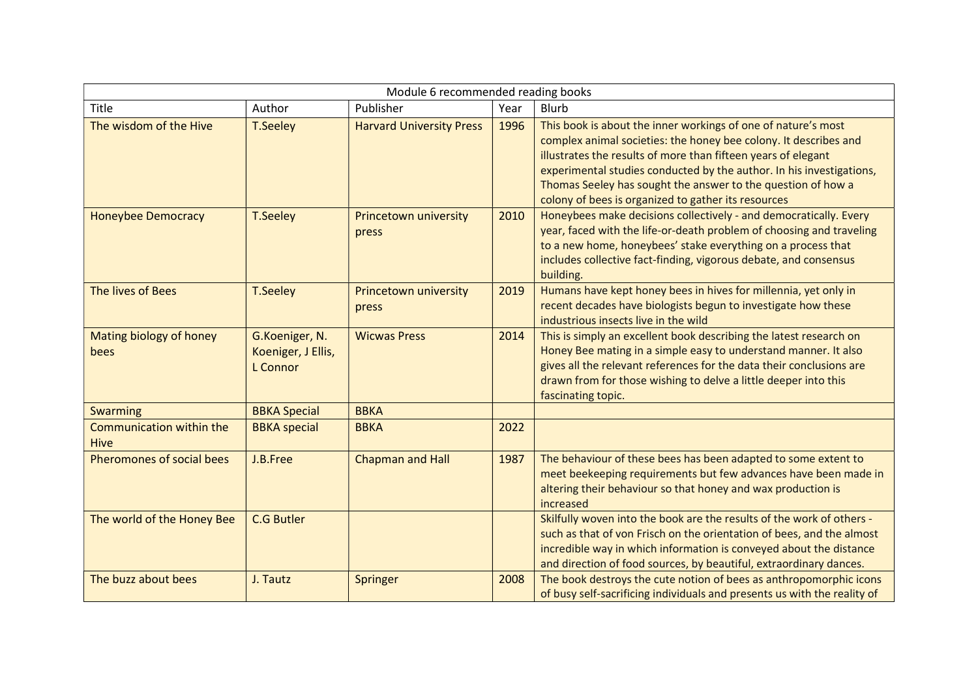| Module 6 recommended reading books      |                                                  |                                 |      |                                                                                                                                                                                                                                                                                                                                                                                                   |  |  |  |
|-----------------------------------------|--------------------------------------------------|---------------------------------|------|---------------------------------------------------------------------------------------------------------------------------------------------------------------------------------------------------------------------------------------------------------------------------------------------------------------------------------------------------------------------------------------------------|--|--|--|
| Title                                   | Author                                           | Publisher                       | Year | <b>Blurb</b>                                                                                                                                                                                                                                                                                                                                                                                      |  |  |  |
| The wisdom of the Hive                  | <b>T.Seeley</b>                                  | <b>Harvard University Press</b> | 1996 | This book is about the inner workings of one of nature's most<br>complex animal societies: the honey bee colony. It describes and<br>illustrates the results of more than fifteen years of elegant<br>experimental studies conducted by the author. In his investigations,<br>Thomas Seeley has sought the answer to the question of how a<br>colony of bees is organized to gather its resources |  |  |  |
| <b>Honeybee Democracy</b>               | <b>T.Seeley</b>                                  | Princetown university<br>press  | 2010 | Honeybees make decisions collectively - and democratically. Every<br>year, faced with the life-or-death problem of choosing and traveling<br>to a new home, honeybees' stake everything on a process that<br>includes collective fact-finding, vigorous debate, and consensus<br>building.                                                                                                        |  |  |  |
| The lives of Bees                       | <b>T.Seeley</b>                                  | Princetown university<br>press  | 2019 | Humans have kept honey bees in hives for millennia, yet only in<br>recent decades have biologists begun to investigate how these<br>industrious insects live in the wild                                                                                                                                                                                                                          |  |  |  |
| Mating biology of honey<br>bees         | G.Koeniger, N.<br>Koeniger, J Ellis,<br>L Connor | <b>Wicwas Press</b>             | 2014 | This is simply an excellent book describing the latest research on<br>Honey Bee mating in a simple easy to understand manner. It also<br>gives all the relevant references for the data their conclusions are<br>drawn from for those wishing to delve a little deeper into this<br>fascinating topic.                                                                                            |  |  |  |
| <b>Swarming</b>                         | <b>BBKA Special</b>                              | <b>BBKA</b>                     |      |                                                                                                                                                                                                                                                                                                                                                                                                   |  |  |  |
| Communication within the<br><b>Hive</b> | <b>BBKA</b> special                              | <b>BBKA</b>                     | 2022 |                                                                                                                                                                                                                                                                                                                                                                                                   |  |  |  |
| Pheromones of social bees               | J.B.Free                                         | <b>Chapman and Hall</b>         | 1987 | The behaviour of these bees has been adapted to some extent to<br>meet beekeeping requirements but few advances have been made in<br>altering their behaviour so that honey and wax production is<br>increased                                                                                                                                                                                    |  |  |  |
| The world of the Honey Bee              | <b>C.G Butler</b>                                |                                 |      | Skilfully woven into the book are the results of the work of others -<br>such as that of von Frisch on the orientation of bees, and the almost<br>incredible way in which information is conveyed about the distance<br>and direction of food sources, by beautiful, extraordinary dances.                                                                                                        |  |  |  |
| The buzz about bees                     | J. Tautz                                         | Springer                        | 2008 | The book destroys the cute notion of bees as anthropomorphic icons<br>of busy self-sacrificing individuals and presents us with the reality of                                                                                                                                                                                                                                                    |  |  |  |